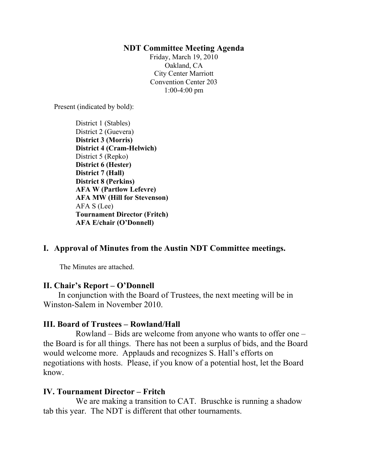#### **NDT Committee Meeting Agenda**

Friday, March 19, 2010 Oakland, CA City Center Marriott Convention Center 203 1:00-4:00 pm

Present (indicated by bold):

District 1 (Stables) District 2 (Guevera) **District 3 (Morris) District 4 (Cram-Helwich)** District 5 (Repko) **District 6 (Hester) District 7 (Hall) District 8 (Perkins) AFA W (Partlow Lefevre) AFA MW (Hill for Stevenson)** AFA S (Lee) **Tournament Director (Fritch) AFA E/chair (O'Donnell)**

# **I. Approval of Minutes from the Austin NDT Committee meetings.**

The Minutes are attached.

## **II. Chair's Report – O'Donnell**

In conjunction with the Board of Trustees, the next meeting will be in Winston-Salem in November 2010.

## **III. Board of Trustees – Rowland/Hall**

Rowland – Bids are welcome from anyone who wants to offer one – the Board is for all things. There has not been a surplus of bids, and the Board would welcome more. Applauds and recognizes S. Hall's efforts on negotiations with hosts. Please, if you know of a potential host, let the Board know.

## **IV. Tournament Director – Fritch**

We are making a transition to CAT. Bruschke is running a shadow tab this year. The NDT is different that other tournaments.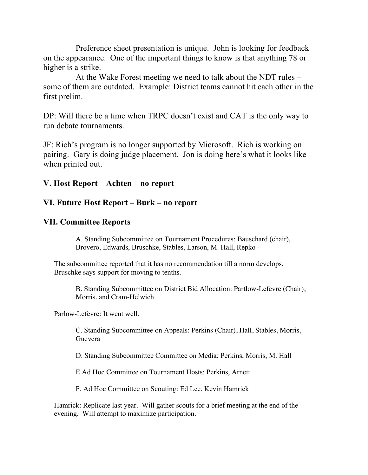Preference sheet presentation is unique. John is looking for feedback on the appearance. One of the important things to know is that anything 78 or higher is a strike.

At the Wake Forest meeting we need to talk about the NDT rules – some of them are outdated. Example: District teams cannot hit each other in the first prelim.

DP: Will there be a time when TRPC doesn't exist and CAT is the only way to run debate tournaments.

JF: Rich's program is no longer supported by Microsoft. Rich is working on pairing. Gary is doing judge placement. Jon is doing here's what it looks like when printed out.

## **V. Host Report – Achten – no report**

## **VI. Future Host Report – Burk – no report**

# **VII. Committee Reports**

A. Standing Subcommittee on Tournament Procedures: Bauschard (chair), Brovero, Edwards, Bruschke, Stables, Larson, M. Hall, Repko –

The subcommittee reported that it has no recommendation till a norm develops. Bruschke says support for moving to tenths.

B. Standing Subcommittee on District Bid Allocation: Partlow-Lefevre (Chair), Morris, and Cram-Helwich

Parlow-Lefevre: It went well.

C. Standing Subcommittee on Appeals: Perkins (Chair), Hall, Stables, Morris, Guevera

D. Standing Subcommittee Committee on Media: Perkins, Morris, M. Hall

E Ad Hoc Committee on Tournament Hosts: Perkins, Arnett

F. Ad Hoc Committee on Scouting: Ed Lee, Kevin Hamrick

Hamrick: Replicate last year. Will gather scouts for a brief meeting at the end of the evening. Will attempt to maximize participation.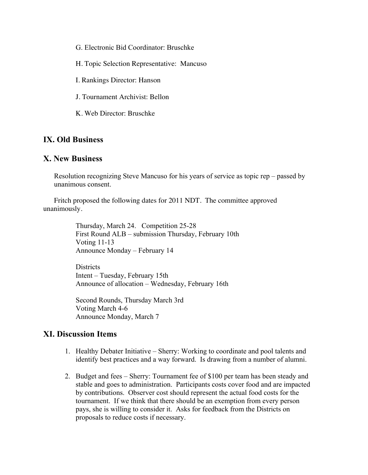G. Electronic Bid Coordinator: Bruschke

H. Topic Selection Representative: Mancuso

I. Rankings Director: Hanson

J. Tournament Archivist: Bellon

K. Web Director: Bruschke

## **IX. Old Business**

#### **X. New Business**

Resolution recognizing Steve Mancuso for his years of service as topic rep – passed by unanimous consent.

Fritch proposed the following dates for 2011 NDT. The committee approved unanimously.

> Thursday, March 24. Competition 25-28 First Round ALB – submission Thursday, February 10th Voting 11-13 Announce Monday – February 14

**Districts** Intent – Tuesday, February 15th Announce of allocation – Wednesday, February 16th

Second Rounds, Thursday March 3rd Voting March 4-6 Announce Monday, March 7

## **XI. Discussion Items**

- 1. Healthy Debater Initiative Sherry: Working to coordinate and pool talents and identify best practices and a way forward. Is drawing from a number of alumni.
- 2. Budget and fees Sherry: Tournament fee of \$100 per team has been steady and stable and goes to administration. Participants costs cover food and are impacted by contributions. Observer cost should represent the actual food costs for the tournament. If we think that there should be an exemption from every person pays, she is willing to consider it. Asks for feedback from the Districts on proposals to reduce costs if necessary.